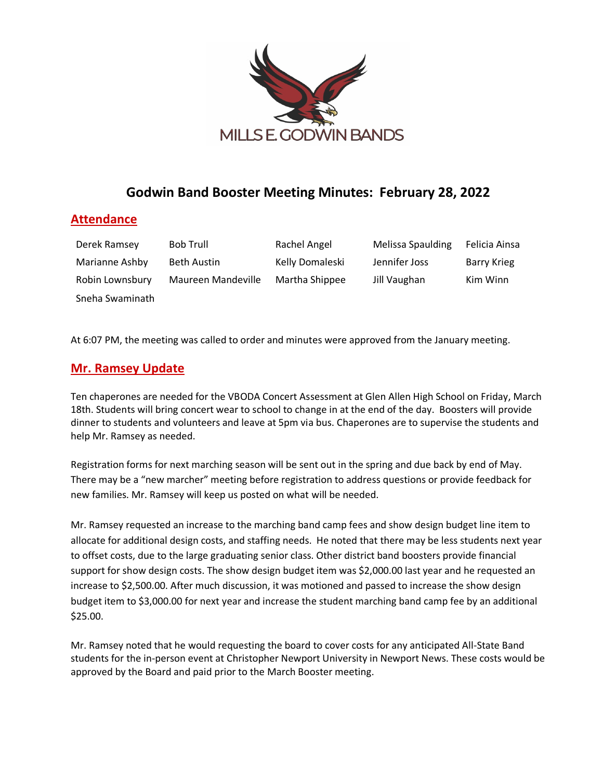

# **Godwin Band Booster Meeting Minutes: February 28, 2022**

### **Attendance**

| Derek Ramsey    | <b>Bob Trull</b>   | Rachel Angel    | Melissa Spaulding | Felicia Ainsa      |
|-----------------|--------------------|-----------------|-------------------|--------------------|
| Marianne Ashby  | Beth Austin        | Kelly Domaleski | Jennifer Joss     | <b>Barry Krieg</b> |
| Robin Lownsbury | Maureen Mandeville | Martha Shippee  | Jill Vaughan      | Kim Winn           |
| Sneha Swaminath |                    |                 |                   |                    |

At 6:07 PM, the meeting was called to order and minutes were approved from the January meeting.

### **Mr. Ramsey Update**

Ten chaperones are needed for the VBODA Concert Assessment at Glen Allen High School on Friday, March 18th. Students will bring concert wear to school to change in at the end of the day. Boosters will provide dinner to students and volunteers and leave at 5pm via bus. Chaperones are to supervise the students and help Mr. Ramsey as needed.

Registration forms for next marching season will be sent out in the spring and due back by end of May. There may be a "new marcher" meeting before registration to address questions or provide feedback for new families. Mr. Ramsey will keep us posted on what will be needed.

Mr. Ramsey requested an increase to the marching band camp fees and show design budget line item to allocate for additional design costs, and staffing needs. He noted that there may be less students next year to offset costs, due to the large graduating senior class. Other district band boosters provide financial support for show design costs. The show design budget item was \$2,000.00 last year and he requested an increase to \$2,500.00. After much discussion, it was motioned and passed to increase the show design budget item to \$3,000.00 for next year and increase the student marching band camp fee by an additional \$25.00.

Mr. Ramsey noted that he would requesting the board to cover costs for any anticipated All-State Band students for the in-person event at Christopher Newport University in Newport News. These costs would be approved by the Board and paid prior to the March Booster meeting.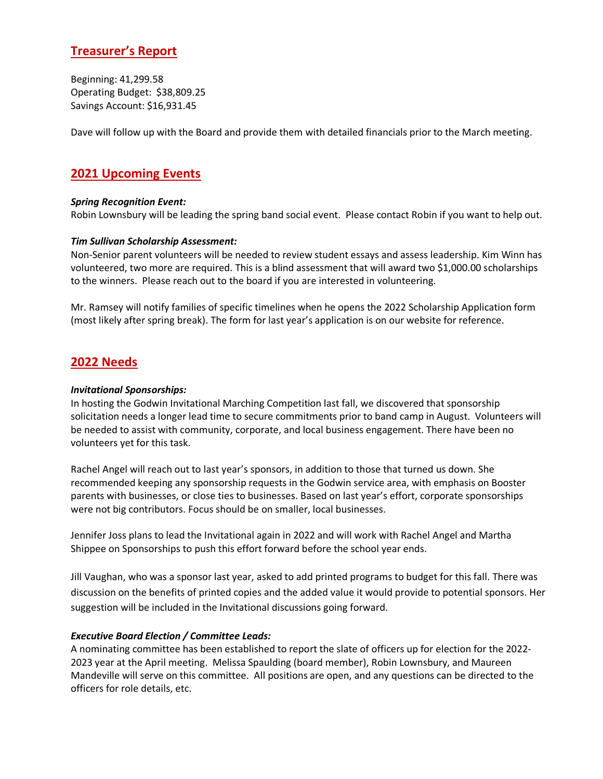# **Treasurer's Report**

Beginning: 41,299.58 Operating Budget: \$38,809.25 Savings Account: \$16,931.45

Dave will follow up with the Board and provide them with detailed financials prior to the March meeting.

## **2021 Upcoming Events**

#### *Spring Recognition Event:*

Robin Lownsbury will be leading the spring band social event. Please contact Robin if you want to help out.

#### *Tim Sullivan Scholarship Assessment:*

Non-Senior parent volunteers will be needed to review student essays and assess leadership. Kim Winn has volunteered, two more are required. This is a blind assessment that will award two \$1,000.00 scholarships to the winners. Please reach out to the board if you are interested in volunteering.

Mr. Ramsey will notify families of specific timelines when he opens the 2022 Scholarship Application form (most likely after spring break). The form for last year's application is on our website for reference.

### **2022 Needs**

#### *Invitational Sponsorships:*

In hosting the Godwin Invitational Marching Competition last fall, we discovered that sponsorship solicitation needs a longer lead time to secure commitments prior to band camp in August. Volunteers will be needed to assist with community, corporate, and local business engagement. There have been no volunteers yet for this task.

Rachel Angel will reach out to last year's sponsors, in addition to those that turned us down. She recommended keeping any sponsorship requests in the Godwin service area, with emphasis on Booster parents with businesses, or close ties to businesses. Based on last year's effort, corporate sponsorships were not big contributors. Focus should be on smaller, local businesses.

Jennifer Joss plans to lead the Invitational again in 2022 and will work with Rachel Angel and Martha Shippee on Sponsorships to push this effort forward before the school year ends.

Jill Vaughan, who was a sponsor last year, asked to add printed programs to budget for this fall. There was discussion on the benefits of printed copies and the added value it would provide to potential sponsors. Her suggestion will be included in the Invitational discussions going forward.

#### *Executive Board Election / Committee Leads:*

A nominating committee has been established to report the slate of officers up for election for the 2022- 2023 year at the April meeting. Melissa Spaulding (board member), Robin Lownsbury, and Maureen Mandeville will serve on this committee. All positions are open, and any questions can be directed to the officers for role details, etc.